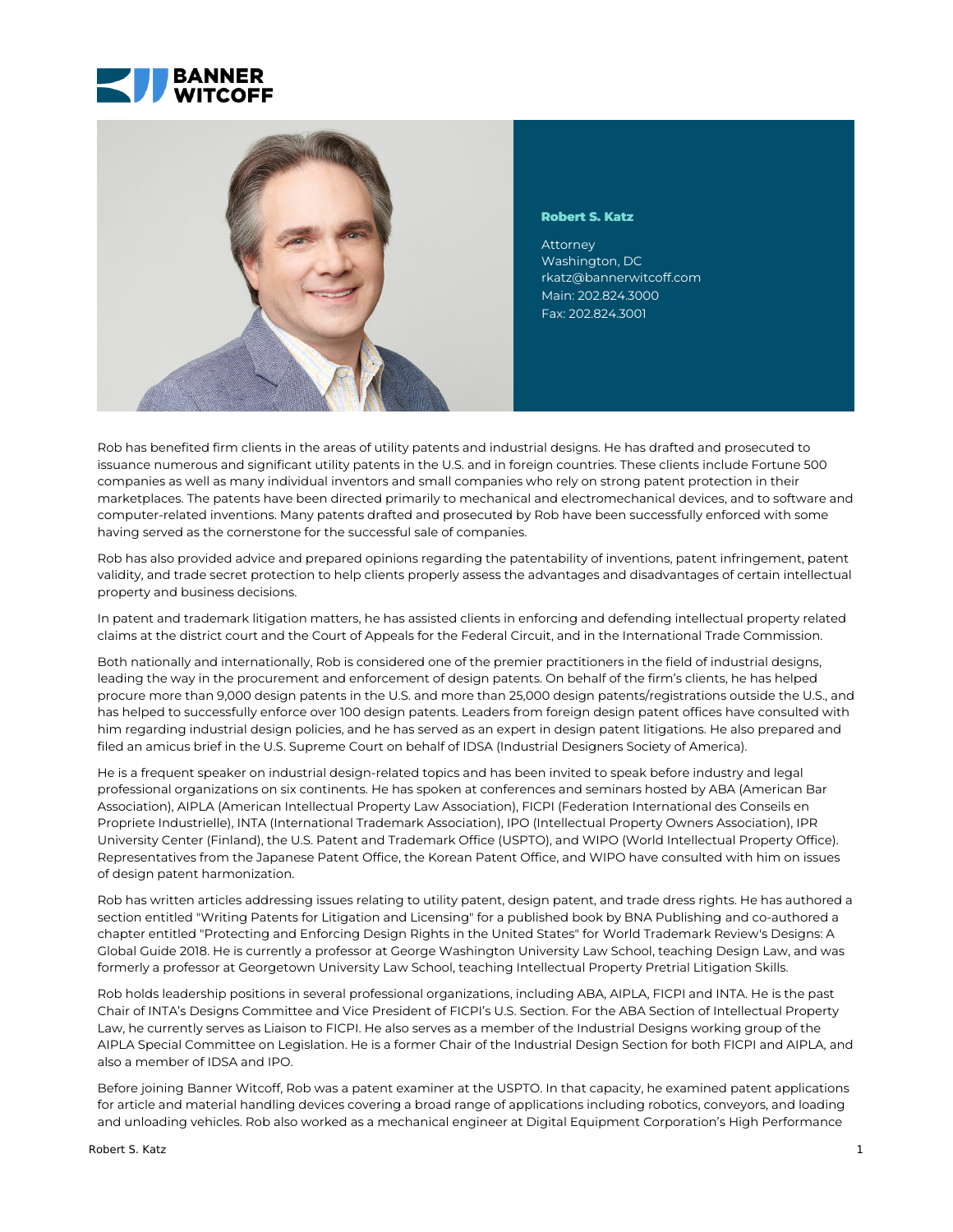



#### **Robert S. Katz**

Washington, DC [rkatz@bannerwitcoff.com](mailto:rkatz@bannerwitcoff.com) Main: 202.824.3000 Fax: 202.824.3001

Rob has benefited firm clients in the areas of utility patents and industrial designs. He has drafted and prosecuted to issuance numerous and significant utility patents in the U.S. and in foreign countries. These clients include Fortune 500 companies as well as many individual inventors and small companies who rely on strong patent protection in their marketplaces. The patents have been directed primarily to mechanical and electromechanical devices, and to software and computer-related inventions. Many patents drafted and prosecuted by Rob have been successfully enforced with some having served as the cornerstone for the successful sale of companies.

Rob has also provided advice and prepared opinions regarding the patentability of inventions, patent infringement, patent validity, and trade secret protection to help clients properly assess the advantages and disadvantages of certain intellectual property and business decisions.

In patent and trademark litigation matters, he has assisted clients in enforcing and defending intellectual property related claims at the district court and the Court of Appeals for the Federal Circuit, and in the International Trade Commission.

Both nationally and internationally, Rob is considered one of the premier practitioners in the field of industrial designs, leading the way in the procurement and enforcement of design patents. On behalf of the firm's clients, he has helped procure more than 9,000 design patents in the U.S. and more than 25,000 design patents/registrations outside the U.S., and has helped to successfully enforce over 100 design patents. Leaders from foreign design patent offices have consulted with him regarding industrial design policies, and he has served as an expert in design patent litigations. He also prepared and filed an amicus brief in the U.S. Supreme Court on behalf of IDSA (Industrial Designers Society of America).

He is a frequent speaker on industrial design-related topics and has been invited to speak before industry and legal professional organizations on six continents. He has spoken at conferences and seminars hosted by ABA (American Bar Association), AIPLA (American Intellectual Property Law Association), FICPI (Federation International des Conseils en Propriete Industrielle), INTA (International Trademark Association), IPO (Intellectual Property Owners Association), IPR University Center (Finland), the U.S. Patent and Trademark Office (USPTO), and WIPO (World Intellectual Property Office). Representatives from the Japanese Patent Office, the Korean Patent Office, and WIPO have consulted with him on issues of design patent harmonization.

Rob has written articles addressing issues relating to utility patent, design patent, and trade dress rights. He has authored a section entitled "Writing Patents for Litigation and Licensing" for a published book by BNA Publishing and co-authored a chapter entitled "Protecting and Enforcing Design Rights in the United States" for World Trademark Review's Designs: A Global Guide 2018. He is currently a professor at George Washington University Law School, teaching Design Law, and was formerly a professor at Georgetown University Law School, teaching Intellectual Property Pretrial Litigation Skills.

Rob holds leadership positions in several professional organizations, including ABA, AIPLA, FICPI and INTA. He is the past Chair of INTA's Designs Committee and Vice President of FICPI's U.S. Section. For the ABA Section of Intellectual Property Law, he currently serves as Liaison to FICPI. He also serves as a member of the Industrial Designs working group of the AIPLA Special Committee on Legislation. He is a former Chair of the Industrial Design Section for both FICPI and AIPLA, and also a member of IDSA and IPO.

Before joining Banner Witcoff, Rob was a patent examiner at the USPTO. In that capacity, he examined patent applications for article and material handling devices covering a broad range of applications including robotics, conveyors, and loading and unloading vehicles. Rob also worked as a mechanical engineer at Digital Equipment Corporation's High Performance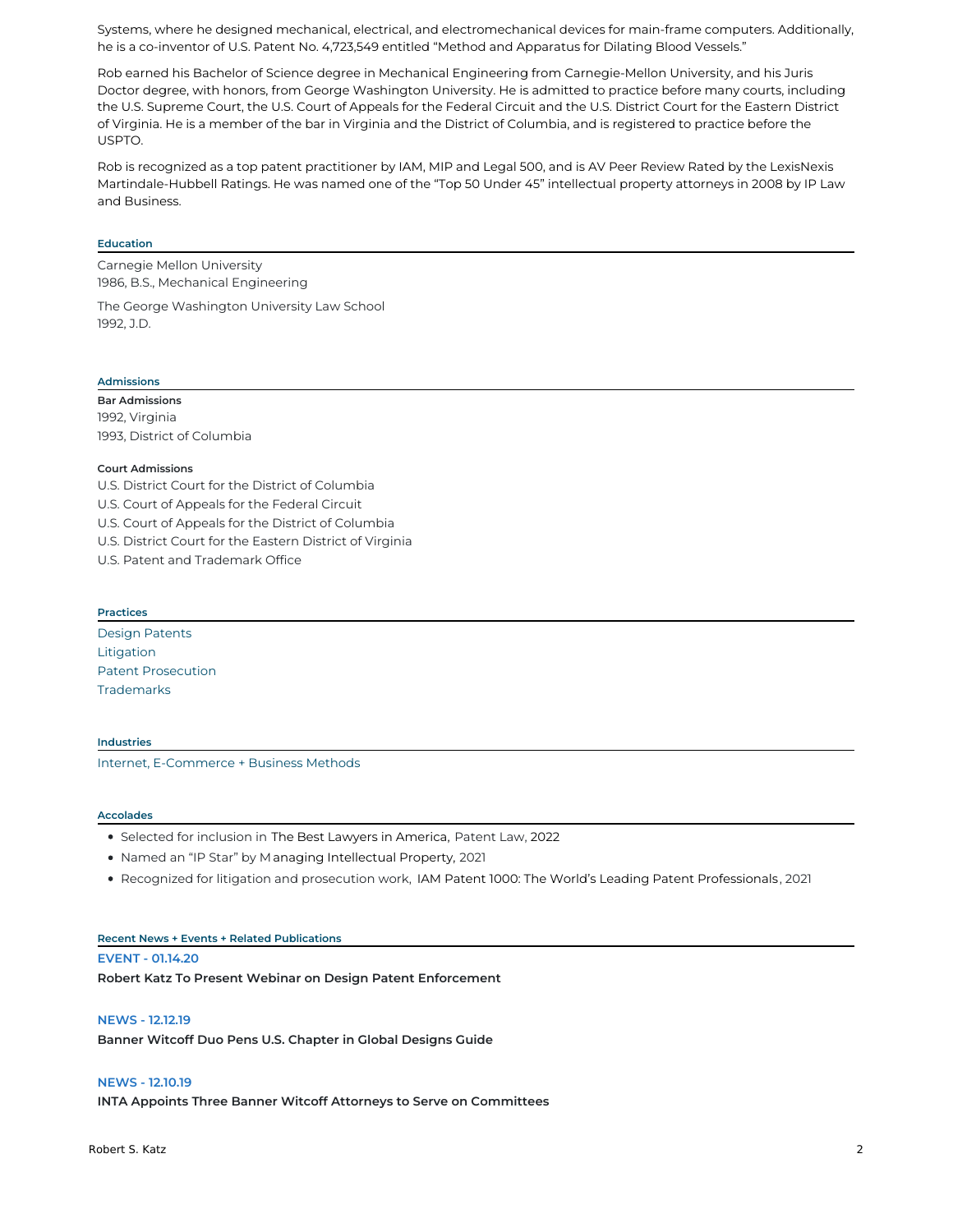Systems, where he designed mechanical, electrical, and electromechanical devices for main-frame computers. Additionally, he is a co-inventor of U.S. Patent No. 4,723,549 entitled "Method and Apparatus for Dilating Blood Vessels."

Rob earned his Bachelor of Science degree in Mechanical Engineering from Carnegie-Mellon University, and his Juris Doctor degree, with honors, from George Washington University. He is admitted to practice before many courts, including the U.S. Supreme Court, the U.S. Court of Appeals for the Federal Circuit and the U.S. District Court for the Eastern District of Virginia. He is a member of the bar in Virginia and the District of Columbia, and is registered to practice before the USPTO.

Rob is recognized as a top patent practitioner by IAM, MIP and Legal 500, and is AV Peer Review Rated by the LexisNexis Martindale-Hubbell Ratings. He was named one of the "Top 50 Under 45" intellectual property attorneys in 2008 by IP Law and Business.

#### **Education**

Carnegie Mellon University 1986, B.S., Mechanical Engineering

The George Washington University Law School 1992, J.D.

### **Admissions**

**Bar Admissions** 1992, Virginia 1993, District of Columbia

#### **Court Admissions**

U.S. District Court for the District of Columbia U.S. Court of Appeals for the Federal Circuit U.S. Court of Appeals for the District of Columbia U.S. District Court for the Eastern District of Virginia U.S. Patent and Trademark Office

#### **Practices**

Design [Patents](https://bannerwitcoff.com/practices/design-patents/) [Litigation](https://bannerwitcoff.com/practices/litigation/) Patent [Prosecution](https://bannerwitcoff.com/practices/patent-prosecution/) **[Trademarks](https://bannerwitcoff.com/practices/trademarks/)** 

## **Industries**

Internet, [E-Commerce](https://bannerwitcoff.com/industries/internet-e-commerce-business-methods/) + Business Methods

#### **Accolades**

- Selected for inclusion in The Best Lawyers in America, Patent Law, 2022
- Named an "IP Star" by Managing Intellectual Property, 2021
- Recognized for litigation and prosecution work, IAM Patent 1000: The World's Leading Patent Professionals, 2021

# **Recent News + Events + Related Publications**

**EVENT - 01.14.20 Robert Katz To Present Webinar on Design Patent Enforcement**

#### **NEWS - 12.12.19**

**Banner Witcoff Duo Pens U.S. Chapter in Global Designs Guide**

## **NEWS - 12.10.19**

**INTA Appoints Three Banner Witcoff Attorneys to Serve on Committees**